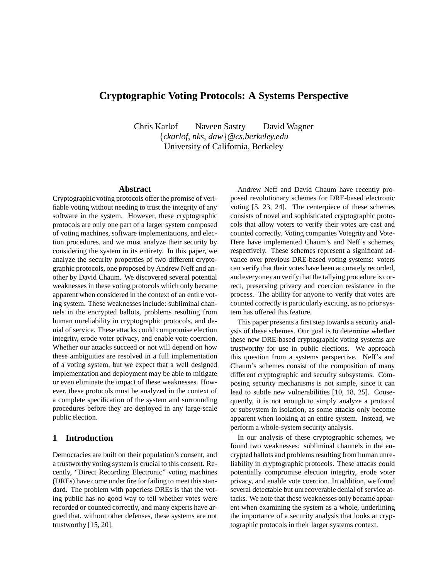# **Cryptographic Voting Protocols: A Systems Perspective**

Chris Karlof Naveen Sastry David Wagner {*ckarlof, nks, daw*}*@cs.berkeley.edu* University of California, Berkeley

### **Abstract**

Cryptographic voting protocols offer the promise of verifiable voting without needing to trust the integrity of any software in the system. However, these cryptographic protocols are only one part of a larger system composed of voting machines, software implementations, and election procedures, and we must analyze their security by considering the system in its entirety. In this paper, we analyze the security properties of two different cryptographic protocols, one proposed by Andrew Neff and another by David Chaum. We discovered several potential weaknesses in these voting protocols which only became apparent when considered in the context of an entire voting system. These weaknesses include: subliminal channels in the encrypted ballots, problems resulting from human unreliability in cryptographic protocols, and denial of service. These attacks could compromise election integrity, erode voter privacy, and enable vote coercion. Whether our attacks succeed or not will depend on how these ambiguities are resolved in a full implementation of a voting system, but we expect that a well designed implementation and deployment may be able to mitigate or even eliminate the impact of these weaknesses. However, these protocols must be analyzed in the context of a complete specification of the system and surrounding procedures before they are deployed in any large-scale public election.

### **1 Introduction**

Democracies are built on their population's consent, and a trustworthy voting system is crucial to this consent. Recently, "Direct Recording Electronic" voting machines (DREs) have come under fire for failing to meet this standard. The problem with paperless DREs is that the voting public has no good way to tell whether votes were recorded or counted correctly, and many experts have argued that, without other defenses, these systems are not trustworthy [15, 20].

Andrew Neff and David Chaum have recently proposed revolutionary schemes for DRE-based electronic voting [5, 23, 24]. The centerpiece of these schemes consists of novel and sophisticated cryptographic protocols that allow voters to verify their votes are cast and counted correctly. Voting companies Votegrity and Vote-Here have implemented Chaum's and Neff's schemes, respectively. These schemes represent a significant advance over previous DRE-based voting systems: voters can verify that their votes have been accurately recorded, and everyone can verify that the tallying procedure is correct, preserving privacy and coercion resistance in the process. The ability for anyone to verify that votes are counted correctly is particularly exciting, as no prior system has offered this feature.

This paper presents a first step towards a security analysis of these schemes. Our goal is to determine whether these new DRE-based cryptographic voting systems are trustworthy for use in public elections. We approach this question from a systems perspective. Neff's and Chaum's schemes consist of the composition of many different cryptographic and security subsystems. Composing security mechanisms is not simple, since it can lead to subtle new vulnerabilities [10, 18, 25]. Consequently, it is not enough to simply analyze a protocol or subsystem in isolation, as some attacks only become apparent when looking at an entire system. Instead, we perform a whole-system security analysis.

In our analysis of these cryptographic schemes, we found two weaknesses: subliminal channels in the encrypted ballots and problems resulting from human unreliability in cryptographic protocols. These attacks could potentially compromise election integrity, erode voter privacy, and enable vote coercion. In addition, we found several detectable but unrecoverable denial of service attacks. We note that these weaknesses only became apparent when examining the system as a whole, underlining the importance of a security analysis that looks at cryptographic protocols in their larger systems context.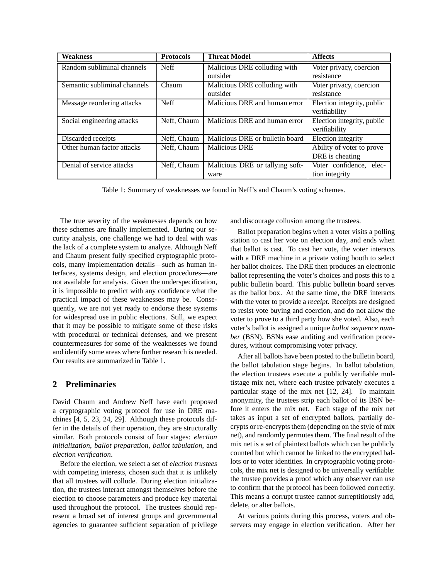| <b>Weakness</b>              | <b>Protocols</b> | <b>Threat Model</b>             | <b>Affects</b>             |
|------------------------------|------------------|---------------------------------|----------------------------|
| Random subliminal channels   | <b>Neff</b>      | Malicious DRE colluding with    | Voter privacy, coercion    |
|                              |                  | outsider                        | resistance                 |
| Semantic subliminal channels | Chaum            | Malicious DRE colluding with    | Voter privacy, coercion    |
|                              |                  | outsider                        | resistance                 |
| Message reordering attacks   | <b>Neff</b>      | Malicious DRE and human error   | Election integrity, public |
|                              |                  |                                 | verifiability              |
| Social engineering attacks   | Neff, Chaum      | Malicious DRE and human error   | Election integrity, public |
|                              |                  |                                 | verifiability              |
| Discarded receipts           | Neff, Chaum      | Malicious DRE or bulletin board | Election integrity         |
| Other human factor attacks   | Neff, Chaum      | <b>Malicious DRE</b>            | Ability of voter to prove  |
|                              |                  |                                 | DRE is cheating            |
| Denial of service attacks    | Neff, Chaum      | Malicious DRE or tallying soft- | Voter confidence, elec-    |
|                              |                  | ware                            | tion integrity             |

Table 1: Summary of weaknesses we found in Neff's and Chaum's voting schemes.

The true severity of the weaknesses depends on how these schemes are finally implemented. During our security analysis, one challenge we had to deal with was the lack of a complete system to analyze. Although Neff and Chaum present fully specified cryptographic protocols, many implementation details—such as human interfaces, systems design, and election procedures—are not available for analysis. Given the underspecification, it is impossible to predict with any confidence what the practical impact of these weaknesses may be. Consequently, we are not yet ready to endorse these systems for widespread use in public elections. Still, we expect that it may be possible to mitigate some of these risks with procedural or technical defenses, and we present countermeasures for some of the weaknesses we found and identify some areas where further research is needed. Our results are summarized in Table 1.

## **2 Preliminaries**

David Chaum and Andrew Neff have each proposed a cryptographic voting protocol for use in DRE machines [4, 5, 23, 24, 29]. Although these protocols differ in the details of their operation, they are structurally similar. Both protocols consist of four stages: *election initialization*, *ballot preparation*, *ballot tabulation*, and *election verification*.

Before the election, we select a set of *election trustees* with competing interests, chosen such that it is unlikely that all trustees will collude. During election initialization, the trustees interact amongst themselves before the election to choose parameters and produce key material used throughout the protocol. The trustees should represent a broad set of interest groups and governmental agencies to guarantee sufficient separation of privilege and discourage collusion among the trustees.

Ballot preparation begins when a voter visits a polling station to cast her vote on election day, and ends when that ballot is cast. To cast her vote, the voter interacts with a DRE machine in a private voting booth to select her ballot choices. The DRE then produces an electronic ballot representing the voter's choices and posts this to a public bulletin board. This public bulletin board serves as the ballot box. At the same time, the DRE interacts with the voter to provide a *receipt*. Receipts are designed to resist vote buying and coercion, and do not allow the voter to prove to a third party how she voted. Also, each voter's ballot is assigned a unique *ballot sequence number* (BSN). BSNs ease auditing and verification procedures, without compromising voter privacy.

After all ballots have been posted to the bulletin board, the ballot tabulation stage begins. In ballot tabulation, the election trustees execute a publicly verifiable multistage mix net, where each trustee privately executes a particular stage of the mix net [12, 24]. To maintain anonymity, the trustees strip each ballot of its BSN before it enters the mix net. Each stage of the mix net takes as input a set of encrypted ballots, partially decrypts or re-encrypts them (depending on the style of mix net), and randomly permutes them. The final result of the mix net is a set of plaintext ballots which can be publicly counted but which cannot be linked to the encrypted ballots or to voter identities. In cryptographic voting protocols, the mix net is designed to be universally verifiable: the trustee provides a proof which any observer can use to confirm that the protocol has been followed correctly. This means a corrupt trustee cannot surreptitiously add, delete, or alter ballots.

At various points during this process, voters and observers may engage in election verification. After her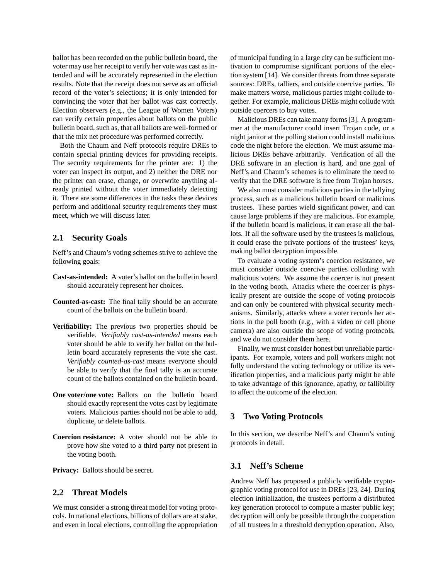ballot has been recorded on the public bulletin board, the voter may use her receipt to verify her vote was cast as intended and will be accurately represented in the election results. Note that the receipt does not serve as an official record of the voter's selections; it is only intended for convincing the voter that her ballot was cast correctly. Election observers (e.g., the League of Women Voters) can verify certain properties about ballots on the public bulletin board, such as, that all ballots are well-formed or that the mix net procedure was performed correctly.

Both the Chaum and Neff protocols require DREs to contain special printing devices for providing receipts. The security requirements for the printer are: 1) the voter can inspect its output, and 2) neither the DRE nor the printer can erase, change, or overwrite anything already printed without the voter immediately detecting it. There are some differences in the tasks these devices perform and additional security requirements they must meet, which we will discuss later.

## **2.1 Security Goals**

Neff's and Chaum's voting schemes strive to achieve the following goals:

- **Cast-as-intended:** A voter's ballot on the bulletin board should accurately represent her choices.
- **Counted-as-cast:** The final tally should be an accurate count of the ballots on the bulletin board.
- **Verifiability:** The previous two properties should be verifiable. *Verifiably cast-as-intended* means each voter should be able to verify her ballot on the bulletin board accurately represents the vote she cast. *Verifiably counted-as-cast* means everyone should be able to verify that the final tally is an accurate count of the ballots contained on the bulletin board.
- **One voter/one vote:** Ballots on the bulletin board should exactly represent the votes cast by legitimate voters. Malicious parties should not be able to add, duplicate, or delete ballots.
- **Coercion resistance:** A voter should not be able to prove how she voted to a third party not present in the voting booth.

**Privacy:** Ballots should be secret.

### **2.2 Threat Models**

We must consider a strong threat model for voting protocols. In national elections, billions of dollars are at stake, and even in local elections, controlling the appropriation of municipal funding in a large city can be sufficient motivation to compromise significant portions of the election system [14]. We consider threats from three separate sources: DREs, talliers, and outside coercive parties. To make matters worse, malicious parties might collude together. For example, malicious DREs might collude with outside coercers to buy votes.

Malicious DREs can take many forms [3]. A programmer at the manufacturer could insert Trojan code, or a night janitor at the polling station could install malicious code the night before the election. We must assume malicious DREs behave arbitrarily. Verification of all the DRE software in an election is hard, and one goal of Neff's and Chaum's schemes is to eliminate the need to verify that the DRE software is free from Trojan horses.

We also must consider malicious parties in the tallying process, such as a malicious bulletin board or malicious trustees. These parties wield significant power, and can cause large problems if they are malicious. For example, if the bulletin board is malicious, it can erase all the ballots. If all the software used by the trustees is malicious, it could erase the private portions of the trustees' keys, making ballot decryption impossible.

To evaluate a voting system's coercion resistance, we must consider outside coercive parties colluding with malicious voters. We assume the coercer is not present in the voting booth. Attacks where the coercer is physically present are outside the scope of voting protocols and can only be countered with physical security mechanisms. Similarly, attacks where a voter records her actions in the poll booth (e.g., with a video or cell phone camera) are also outside the scope of voting protocols, and we do not consider them here.

Finally, we must consider honest but unreliable participants. For example, voters and poll workers might not fully understand the voting technology or utilize its verification properties, and a malicious party might be able to take advantage of this ignorance, apathy, or fallibility to affect the outcome of the election.

### **3 Two Voting Protocols**

In this section, we describe Neff's and Chaum's voting protocols in detail.

### **3.1 Neff's Scheme**

Andrew Neff has proposed a publicly verifiable cryptographic voting protocol for use in DREs [23, 24]. During election initialization, the trustees perform a distributed key generation protocol to compute a master public key; decryption will only be possible through the cooperation of all trustees in a threshold decryption operation. Also,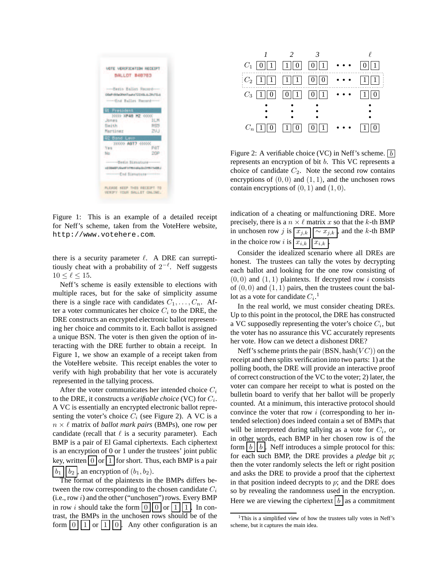

Figure 1: This is an example of a detailed receipt for Neff's scheme, taken from the VoteHere website, http://www.votehere.com.

there is a security parameter  $\ell$ . A DRE can surreptitiously cheat with a probability of  $2^{-\ell}$ . Neff suggests  $10 < \ell < 15$ .

Neff's scheme is easily extensible to elections with multiple races, but for the sake of simplicity assume there is a single race with candidates  $C_1, \ldots, C_n$ . After a voter communicates her choice  $C_i$  to the DRE, the DRE constructs an encrypted electronic ballot representing her choice and commits to it. Each ballot is assigned a unique BSN. The voter is then given the option of interacting with the DRE further to obtain a receipt. In Figure 1, we show an example of a receipt taken from the VoteHere website. This receipt enables the voter to verify with high probability that her vote is accurately represented in the tallying process.

After the voter communicates her intended choice  $C_i$ to the DRE, it constructs a *verifiable choice* (VC) for  $C_i$ . A VC is essentially an encrypted electronic ballot representing the voter's choice  $C_i$  (see Figure 2). A VC is a  $n \times \ell$  matrix of *ballot mark pairs* (BMPs), one row per candidate (recall that  $\ell$  is a security parameter). Each BMP is a pair of El Gamal ciphertexts. Each ciphertext is an encryption of 0 or 1 under the trustees' joint public key, written  $\vert 0 \vert \text{or} \vert 1 \vert$  for short. Thus, each BMP is a pair  $b_1 \mid b_2$ , an encryption of  $(b_1, b_2)$ .

The format of the plaintexts in the BMPs differs between the row corresponding to the chosen candidate  $C_i$  $(i.e., row i)$  and the other ("unchosen") rows. Every BMP in row i should take the form  $\left| 0 \right| \left| 0 \right|$  or  $\left| 1 \right| \left| 1 \right|$ . In contrast, the BMPs in the unchosen rows should be of the form  $\vert 0 \vert \vert 1 \vert$  or  $\vert 1 \vert \vert 0 \vert$ . Any other configuration is an



Figure 2: A verifiable choice (VC) in Neff's scheme.  $\lfloor b \rfloor$ represents an encryption of bit b. This VC represents a choice of candidate  $C_2$ . Note the second row contains encryptions of  $(0, 0)$  and  $(1, 1)$ , and the unchosen rows contain encryptions of  $(0, 1)$  and  $(1, 0)$ .

indication of a cheating or malfunctioning DRE. More precisely, there is a  $n \times \ell$  matrix x so that the k-th BMP in unchosen row j is  $x_{j,k}$   $\sim x_{j,k}$ , and the k-th BMP in the choice row i is  $\boxed{x_{i,k}}$   $\boxed{x_{i,k}}$ 

Consider the idealized scenario where all DREs are honest. The trustees can tally the votes by decrypting each ballot and looking for the one row consisting of  $(0, 0)$  and  $(1, 1)$  plaintexts. If decrypted row i consists of  $(0, 0)$  and  $(1, 1)$  pairs, then the trustees count the ballot as a vote for candidate  $C_i$ .<sup>1</sup>

In the real world, we must consider cheating DREs. Up to this point in the protocol, the DRE has constructed a VC supposedly representing the voter's choice  $C_i$ , but the voter has no assurance this VC accurately represents her vote. How can we detect a dishonest DRE?

Neff's scheme prints the pair  $(BSN, hash(VC))$  on the receipt and then splits verification into two parts: 1) at the polling booth, the DRE will provide an interactive proof of correct construction of the VC to the voter; 2) later, the voter can compare her receipt to what is posted on the bulletin board to verify that her ballot will be properly counted. At a minimum, this interactive protocol should convince the voter that row  $i$  (corresponding to her intended selection) does indeed contain a set of BMPs that will be interpreted during tallying as a vote for  $C_i$ , or in other words, each BMP in her chosen row is of the form  $\begin{bmatrix} b \end{bmatrix}$  b. Neff introduces a simple protocol for this: for each such BMP, the DRE provides a *pledge* bit p; then the voter randomly selects the left or right position and asks the DRE to provide a proof that the ciphertext in that position indeed decrypts to  $p$ ; and the DRE does so by revealing the randomness used in the encryption. Here we are viewing the ciphertext  $\boxed{b}$  as a commitment

 $1$ This is a simplified view of how the trustees tally votes in Neff's scheme, but it captures the main idea.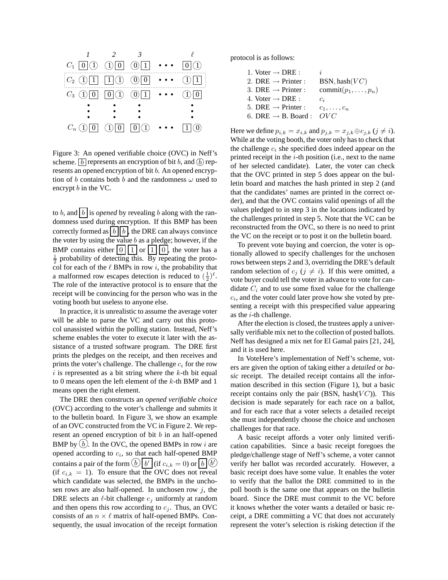

Figure 3: An opened verifiable choice (OVC) in Neff's scheme.  $\boxed{b}$  represents an encryption of bit b, and  $\boxed{b}$  represents an opened encryption of bit b. An opened encryption of b contains both b and the randomness  $\omega$  used to encrypt b in the VC.

to b, and  $\lfloor b \rfloor$  is *opened* by revealing b along with the randomness used during encryption. If this BMP has been correctly formed as  $\mid b \mid \mid b \mid$ , the DRE can always convince the voter by using the value  $b$  as a pledge; however, if the BMP contains either  $|0| |1|$  or  $|1| |0|$ , the voter has a  $\frac{1}{2}$  probability of detecting this. By repeating the protocol for each of the  $\ell$  BMPs in row i, the probability that a malformed row escapes detection is reduced to  $(\frac{1}{2})^{\ell}$ . The role of the interactive protocol is to ensure that the receipt will be convincing for the person who was in the voting booth but useless to anyone else.

In practice, it is unrealistic to assume the average voter will be able to parse the VC and carry out this protocol unassisted within the polling station. Instead, Neff's scheme enables the voter to execute it later with the assistance of a trusted software program. The DRE first prints the pledges on the receipt, and then receives and prints the voter's challenge. The challenge  $c_i$  for the row i is represented as a bit string where the  $k$ -th bit equal to 0 means open the left element of the k-th BMP and 1 means open the right element.

The DRE then constructs an *opened verifiable choice* (OVC) according to the voter's challenge and submits it to the bulletin board. In Figure 3, we show an example of an OVC constructed from the VC in Figure 2. We represent an opened encryption of bit  $b$  in an half-opened BMP by  $(b)$ . In the OVC, the opened BMPs in row *i* are opened according to  $c_i$ , so that each half-opened BMP contains a pair of the form  $\widehat{b}$   $\boxed{b'}$  (if  $c_{i,k} = 0$ ) or  $\boxed{b}$   $\boxed{b'}$ (if  $c_{i,k} = 1$ ). To ensure that the OVC does not reveal which candidate was selected, the BMPs in the unchosen rows are also half-opened. In unchosen row  $j$ , the DRE selects an  $\ell$ -bit challenge  $c_j$  uniformly at random and then opens this row according to  $c_j$ . Thus, an OVC consists of an  $n \times \ell$  matrix of half-opened BMPs. Consequently, the usual invocation of the receipt formation protocol is as follows:

| 1. Voter $\rightarrow$ DRE :    | İ.                         |
|---------------------------------|----------------------------|
| 2. DRE $\rightarrow$ Printer :  | BSN, hash $(VC)$           |
| 3. DRE $\rightarrow$ Printer :  | $commit(p_1, \ldots, p_n)$ |
| 4. Voter $\rightarrow$ DRE :    | $c_i$                      |
| 5. DRE $\rightarrow$ Printer :  | $c_1,\ldots,c_n$           |
| 6. DRE $\rightarrow$ B. Board : | OVC                        |

Here we define  $p_{i,k} = x_{i,k}$  and  $p_{j,k} = x_{j,k} \oplus c_{j,k}$  ( $j \neq i$ ). While at the voting booth, the voter only has to check that the challenge  $c_i$  she specified does indeed appear on the printed receipt in the  $i$ -th position (i.e., next to the name of her selected candidate). Later, the voter can check that the OVC printed in step 5 does appear on the bulletin board and matches the hash printed in step 2 (and that the candidates' names are printed in the correct order), and that the OVC contains valid openings of all the values pledged to in step 3 in the locations indicated by the challenges printed in step 5. Note that the VC can be reconstructed from the OVC, so there is no need to print the VC on the receipt or to post it on the bulletin board.

To prevent vote buying and coercion, the voter is optionally allowed to specify challenges for the unchosen rows between steps 2 and 3, overriding the DRE's default random selection of  $c_j$  ( $j \neq i$ ). If this were omitted, a vote buyer could tell the voter in advance to vote for candidate  $C_i$  and to use some fixed value for the challenge  $c_i$ , and the voter could later prove how she voted by presenting a receipt with this prespecified value appearing as the  $i$ -th challenge.

After the election is closed, the trustees apply a universally verifiable mix net to the collection of posted ballots. Neff has designed a mix net for El Gamal pairs [21, 24], and it is used here.

In VoteHere's implementation of Neff's scheme, voters are given the option of taking either a *detailed* or *basic* receipt. The detailed receipt contains all the information described in this section (Figure 1), but a basic receipt contains only the pair (BSN, hash $(VC)$ ). This decision is made separately for each race on a ballot, and for each race that a voter selects a detailed receipt she must independently choose the choice and unchosen challenges for that race.

A basic receipt affords a voter only limited verification capabilities. Since a basic receipt foregoes the pledge/challenge stage of Neff's scheme, a voter cannot verify her ballot was recorded accurately. However, a basic receipt does have some value. It enables the voter to verify that the ballot the DRE committed to in the poll booth is the same one that appears on the bulletin board. Since the DRE must commit to the VC before it knows whether the voter wants a detailed or basic receipt, a DRE committing a VC that does not accurately represent the voter's selection is risking detection if the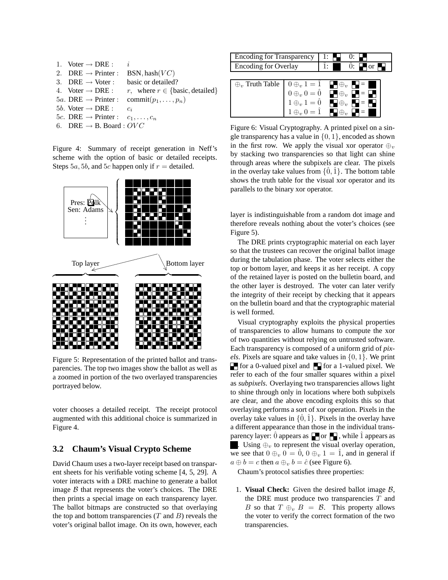| 1. Voter $\rightarrow$ DRE :                       | i.                                                          |
|----------------------------------------------------|-------------------------------------------------------------|
| 2. DRE $\rightarrow$ Printer :                     | BSN, hash $(VC)$                                            |
| 3. DRE $\rightarrow$ Voter :                       | basic or detailed?                                          |
| 4. Voter $\rightarrow$ DRE :                       | r, where $r \in \{\text{basic}, \text{detailed}\}\$         |
|                                                    | 5a. DRE $\rightarrow$ Printer : commit $(p_1, \ldots, p_n)$ |
| 5 <i>b</i> . Voter $\rightarrow$ DRE :             | $c_i$                                                       |
| 5c. DRE $\rightarrow$ Printer : $c_1, \ldots, c_n$ |                                                             |
| 6. DRE $\rightarrow$ B. Board : OVC                |                                                             |

Figure 4: Summary of receipt generation in Neff's scheme with the option of basic or detailed receipts. Steps 5a, 5b, and 5c happen only if  $r =$  detailed.



Figure 5: Representation of the printed ballot and transparencies. The top two images show the ballot as well as a zoomed in portion of the two overlayed transparencies portrayed below.

voter chooses a detailed receipt. The receipt protocol augmented with this additional choice is summarized in Figure 4.

## **3.2 Chaum's Visual Crypto Scheme**

David Chaum uses a two-layer receipt based on transparent sheets for his verifiable voting scheme [4, 5, 29]. A voter interacts with a DRE machine to generate a ballot image  $B$  that represents the voter's choices. The DRE then prints a special image on each transparency layer. The ballot bitmaps are constructed so that overlaying the top and bottom transparencies  $(T \text{ and } B)$  reveals the voter's original ballot image. On its own, however, each

| <b>Encoding for Transparency</b> |                                                                                                              |                                                     |
|----------------------------------|--------------------------------------------------------------------------------------------------------------|-----------------------------------------------------|
| <b>Encoding for Overlay</b>      |                                                                                                              | $\alpha$                                            |
|                                  |                                                                                                              |                                                     |
| $\oplus_v$ Truth Table           |                                                                                                              | $\blacksquare \oplus_v \blacksquare = \blacksquare$ |
|                                  | $0 \oplus_v 1 = \hat{1}$<br>$0 \oplus_v 0 = \hat{0}$<br>$1 \oplus_v 1 = \hat{0}$<br>$1 \oplus_v 0 = \hat{1}$ | $\blacksquare \oplus_v \blacksquare = \blacksquare$ |
|                                  |                                                                                                              | $\blacksquare \oplus_v \blacksquare = \blacksquare$ |
|                                  |                                                                                                              |                                                     |

Figure 6: Visual Cryptography. A printed pixel on a single transparency has a value in  $\{0, 1\}$ , encoded as shown in the first row. We apply the visual xor operator  $\oplus_v$ by stacking two transparencies so that light can shine through areas where the subpixels are clear. The pixels in the overlay take values from  $\{0, 1\}$ . The bottom table shows the truth table for the visual xor operator and its parallels to the binary xor operator.

layer is indistinguishable from a random dot image and therefore reveals nothing about the voter's choices (see Figure 5).

The DRE prints cryptographic material on each layer so that the trustees can recover the original ballot image during the tabulation phase. The voter selects either the top or bottom layer, and keeps it as her receipt. A copy of the retained layer is posted on the bulletin board, and the other layer is destroyed. The voter can later verify the integrity of their receipt by checking that it appears on the bulletin board and that the cryptographic material is well formed.

Visual cryptography exploits the physical properties of transparencies to allow humans to compute the xor of two quantities without relying on untrusted software. Each transparency is composed of a uniform grid of *pixels*. Pixels are square and take values in {0, 1}. We print  $\Box$  for a 0-valued pixel and  $\Box$  for a 1-valued pixel. We refer to each of the four smaller squares within a pixel as *subpixels*. Overlaying two transparencies allows light to shine through only in locations where both subpixels are clear, and the above encoding exploits this so that overlaying performs a sort of xor operation. Pixels in the overlay take values in  $\{\hat{0}, \hat{1}\}$ . Pixels in the overlay have a different appearance than those in the individual transparency layer:  $\hat{0}$  appears as  $\Box$  or  $\Box$ , while  $\hat{1}$  appears as . Using  $\oplus_v$  to represent the visual overlay operation, we see that  $0 \oplus_v 0 = 0$ ,  $0 \oplus_v 1 = 1$ , and in general if  $a \oplus b = c$  then  $a \oplus v = \hat{c}$  (see Figure 6).

Chaum's protocol satisfies three properties:

1. **Visual Check:** Given the desired ballot image  $B$ , the DRE must produce two transparencies  $T$  and B so that  $T \oplus_v B = \mathcal{B}$ . This property allows the voter to verify the correct formation of the two transparencies.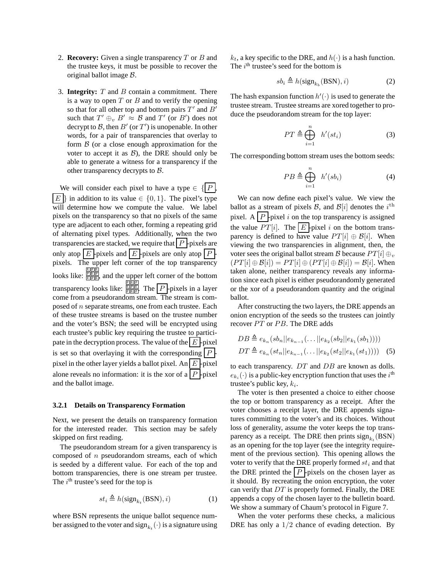- 2. **Recovery:** Given a single transparency T or B and the trustee keys, it must be possible to recover the original ballot image B.
- 3. **Integrity:**  $T$  and  $B$  contain a commitment. There is a way to open  $T$  or  $B$  and to verify the opening so that for all other top and bottom pairs  $T'$  and  $B'$ such that  $T' \oplus_v B' \approx B$  and  $T'$  (or  $B'$ ) does not decrypt to B, then  $B'$  (or  $T'$ ) is unopenable. In other words, for a pair of transparencies that overlay to form  $\beta$  (or a close enough approximation for the voter to accept it as  $B$ ), the DRE should only be able to generate a witness for a transparency if the other transparency decrypts to B.

We will consider each pixel to have a type  $\in \{ |P| \}$  $E \nvert$  in addition to its value  $\in \{0, 1\}$ . The pixel's type will determine how we compute the value. We label pixels on the transparency so that no pixels of the same type are adjacent to each other, forming a repeating grid of alternating pixel types. Additionally, when the two transparencies are stacked, we require that  $|P|$ -pixels are only atop  $E$  -pixels and  $E$  -pixels are only atop  $P$ . pixels. The upper left corner of the top transparency  $\frac{E[PI]E}{E[PI]E}$  and the upper left corner of the bottom transparency looks like: **EFRIE The**  $\boxed{P}$ -pixels in a layer come from a pseudorandom stream. The stream is composed of n separate streams, one from each trustee. Each of these trustee streams is based on the trustee number and the voter's BSN; the seed will be encrypted using each trustee's public key requiring the trustee to participate in the decryption process. The value of the  $E$  -pixel is set so that overlaying it with the corresponding  $|P|$ . pixel in the other layer yields a ballot pixel. An  $E$  -pixel alone reveals no information: it is the xor of a  $P \nvert p$  -pixel and the ballot image.

#### **3.2.1 Details on Transparency Formation**

Next, we present the details on transparency formation for the interested reader. This section may be safely skipped on first reading.

The pseudorandom stream for a given transparency is composed of  $n$  pseudorandom streams, each of which is seeded by a different value. For each of the top and bottom transparencies, there is one stream per trustee. The  $i^{\text{th}}$  trustee's seed for the top is

$$
st_i \triangleq h(\text{sign}_{k_t}(\text{BSN}), i)
$$
 (1)

where BSN represents the unique ballot sequence number assigned to the voter and  $\mathrm{sign}_{k_t}(\cdot)$  is a signature using  $k_t$ , a key specific to the DRE, and  $h(\cdot)$  is a hash function. The  $i<sup>th</sup>$  trustee's seed for the bottom is

$$
sb_i \triangleq h(\text{sign}_{k_b}(\text{BSN}), i) \tag{2}
$$

The hash expansion function  $h'(\cdot)$  is used to generate the trustee stream. Trustee streams are xored together to produce the pseudorandom stream for the top layer:

$$
PT \triangleq \bigoplus_{i=1}^{n} h'(st_i)
$$
 (3)

The corresponding bottom stream uses the bottom seeds:

$$
PB \triangleq \bigoplus_{i=1}^{n} h'(sb_i) \tag{4}
$$

We can now define each pixel's value. We view the ballot as a stream of pixels  $\mathcal{B}$ , and  $\mathcal{B}[i]$  denotes the  $i^{\text{th}}$ pixel. A  $\left| P \right|$ -pixel i on the top transparency is assigned the value  $PT[i]$ . The  $E$ -pixel i on the bottom transparency is defined to have value  $PT[i] \oplus B[i]$ . When viewing the two transparencies in alignment, then, the voter sees the original ballot stream B because  $PT[i] \oplus_v$  $(PT[i] \oplus \mathcal{B}[i]) = PT[i] \oplus (PT[i] \oplus \mathcal{B}[i]) = \mathcal{B}[i]$ . When taken alone, neither transparency reveals any information since each pixel is either pseudorandomly generated or the xor of a pseudorandom quantity and the original ballot.

After constructing the two layers, the DRE appends an onion encryption of the seeds so the trustees can jointly recover PT or PB. The DRE adds

$$
DB \triangleq e_{k_n}(sb_n||e_{k_{n-1}}(\dots||e_{k_2}(sb_2||e_{k_1}(sb_1))))
$$
  

$$
DT \triangleq e_{k_n}(st_n||e_{k_{n-1}}(\dots||e_{k_2}(st_2||e_{k_1}(st_1))))
$$
 (5)

to each transparency.  $DT$  and  $DB$  are known as dolls.  $e_{k_i}(\cdot)$  is a public-key encryption function that uses the  $i^{\text{th}}$ trustee's public key,  $k_i$ .

The voter is then presented a choice to either choose the top or bottom transparency as a receipt. After the voter chooses a receipt layer, the DRE appends signatures committing to the voter's and its choices. Without loss of generality, assume the voter keeps the top transparency as a receipt. The DRE then prints  $sign_{k_t}(\text{BSN})$ as an opening for the top layer (see the integrity requirement of the previous section). This opening allows the voter to verify that the DRE properly formed  $st_i$  and that the DRE printed the  $\left|P\right|$ -pixels on the chosen layer as it should. By recreating the onion encryption, the voter can verify that  $DT$  is properly formed. Finally, the DRE appends a copy of the chosen layer to the bulletin board. We show a summary of Chaum's protocol in Figure 7.

When the voter performs these checks, a malicious DRE has only a  $1/2$  chance of evading detection. By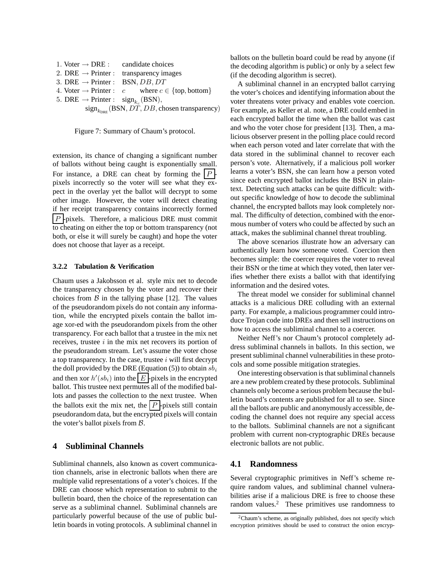| 1. Voter $\rightarrow$ DRE : candidate choices          |                                                                                |
|---------------------------------------------------------|--------------------------------------------------------------------------------|
|                                                         | 2. DRE $\rightarrow$ Printer : transparency images                             |
| 3. DRE $\rightarrow$ Printer : BSN, DB, DT              |                                                                                |
|                                                         | 4. Voter $\rightarrow$ Printer : c where $c \in \{\text{top}, \text{bottom}\}$ |
| 5. DRE $\rightarrow$ Printer : sign <sub>k</sub> (BSN), |                                                                                |

 $\mathrm{sign}_{k_\mathrm{DRE}}(\mathrm{BSN},DT,DB,\mathrm{chosen\ transport})$ 

Figure 7: Summary of Chaum's protocol.

extension, its chance of changing a significant number of ballots without being caught is exponentially small. For instance, a DRE can cheat by forming the  $|P|$ pixels incorrectly so the voter will see what they expect in the overlay yet the ballot will decrypt to some other image. However, the voter will detect cheating if her receipt transparency contains incorrectly formed  $\left| P \right|$ -pixels. Therefore, a malicious DRE must commit to cheating on either the top or bottom transparency (not both, or else it will surely be caught) and hope the voter does not choose that layer as a receipt.

### **3.2.2 Tabulation & Verification**

Chaum uses a Jakobsson et al. style mix net to decode the transparency chosen by the voter and recover their choices from  $\beta$  in the tallying phase [12]. The values of the pseudorandom pixels do not contain any information, while the encrypted pixels contain the ballot image xor-ed with the pseudorandom pixels from the other transparency. For each ballot that a trustee in the mix net receives, trustee  $i$  in the mix net recovers its portion of the pseudorandom stream. Let's assume the voter chose a top transparency. In the case, trustee  $i$  will first decrypt the doll provided by the DRE (Equation (5)) to obtain  $sb_i$ and then xor  $h'(sb_i)$  into the  $\boxed{E}$ -pixels in the encrypted ballot. This trustee next permutes all of the modified ballots and passes the collection to the next trustee. When the ballots exit the mix net, the  $\boxed{P}$ -pixels still contain pseudorandom data, but the encrypted pixels will contain the voter's ballot pixels from  $\beta$ .

### **4 Subliminal Channels**

Subliminal channels, also known as covert communication channels, arise in electronic ballots when there are multiple valid representations of a voter's choices. If the DRE can choose which representation to submit to the bulletin board, then the choice of the representation can serve as a subliminal channel. Subliminal channels are particularly powerful because of the use of public bulletin boards in voting protocols. A subliminal channel in ballots on the bulletin board could be read by anyone (if the decoding algorithm is public) or only by a select few (if the decoding algorithm is secret).

A subliminal channel in an encrypted ballot carrying the voter's choices and identifying information about the voter threatens voter privacy and enables vote coercion. For example, as Keller et al. note, a DRE could embed in each encrypted ballot the time when the ballot was cast and who the voter chose for president [13]. Then, a malicious observer present in the polling place could record when each person voted and later correlate that with the data stored in the subliminal channel to recover each person's vote. Alternatively, if a malicious poll worker learns a voter's BSN, she can learn how a person voted since each encrypted ballot includes the BSN in plaintext. Detecting such attacks can be quite difficult: without specific knowledge of how to decode the subliminal channel, the encrypted ballots may look completely normal. The difficulty of detection, combined with the enormous number of voters who could be affected by such an attack, makes the subliminal channel threat troubling.

The above scenarios illustrate how an adversary can authentically learn how someone voted. Coercion then becomes simple: the coercer requires the voter to reveal their BSN or the time at which they voted, then later verifies whether there exists a ballot with that identifying information and the desired votes.

The threat model we consider for subliminal channel attacks is a malicious DRE colluding with an external party. For example, a malicious programmer could introduce Trojan code into DREs and then sell instructions on how to access the subliminal channel to a coercer.

Neither Neff's nor Chaum's protocol completely address subliminal channels in ballots. In this section, we present subliminal channel vulnerabilities in these protocols and some possible mitigation strategies.

One interesting observation is that subliminal channels are a new problem created by these protocols. Subliminal channels only become a serious problem because the bulletin board's contents are published for all to see. Since all the ballots are public and anonymously accessible, decoding the channel does not require any special access to the ballots. Subliminal channels are not a significant problem with current non-cryptographic DREs because electronic ballots are not public.

### **4.1 Randomness**

Several cryptographic primitives in Neff's scheme require random values, and subliminal channel vulnerabilities arise if a malicious DRE is free to choose these random values. $\frac{2}{1}$  These primitives use randomness to

 $2$ Chaum's scheme, as originally published, does not specify which encryption primitives should be used to construct the onion encryp-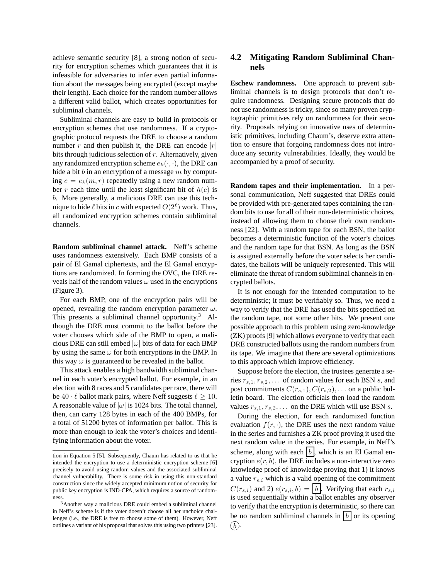achieve semantic security [8], a strong notion of security for encryption schemes which guarantees that it is infeasible for adversaries to infer even partial information about the messages being encrypted (except maybe their length). Each choice for the random number allows a different valid ballot, which creates opportunities for subliminal channels.

Subliminal channels are easy to build in protocols or encryption schemes that use randomness. If a cryptographic protocol requests the DRE to choose a random number r and then publish it, the DRE can encode  $|r|$ bits through judicious selection of  $r$ . Alternatively, given any randomized encryption scheme  $e_k(\cdot, \cdot)$ , the DRE can hide a bit b in an encryption of a message  $m$  by computing  $c = e_k(m, r)$  repeatedly using a new random number r each time until the least significant bit of  $h(c)$  is b. More generally, a malicious DRE can use this technique to hide  $\ell$  bits in c with expected  $O(2^{\ell})$  work. Thus, all randomized encryption schemes contain subliminal channels.

**Random subliminal channel attack.** Neff's scheme uses randomness extensively. Each BMP consists of a pair of El Gamal ciphertexts, and the El Gamal encryptions are randomized. In forming the OVC, the DRE reveals half of the random values  $\omega$  used in the encryptions (Figure 3).

For each BMP, one of the encryption pairs will be opened, revealing the random encryption parameter  $\omega$ . This presents a subliminal channel opportunity.<sup>3</sup> Although the DRE must commit to the ballot before the voter chooses which side of the BMP to open, a malicious DRE can still embed  $|\omega|$  bits of data for each BMP by using the same  $\omega$  for both encryptions in the BMP. In this way  $\omega$  is guaranteed to be revealed in the ballot.

This attack enables a high bandwidth subliminal channel in each voter's encrypted ballot. For example, in an election with 8 races and 5 candidates per race, there will be  $40 \cdot \ell$  ballot mark pairs, where Neff suggests  $\ell \geq 10$ . A reasonable value of  $|\omega|$  is 1024 bits. The total channel, then, can carry 128 bytes in each of the 400 BMPs, for a total of 51200 bytes of information per ballot. This is more than enough to leak the voter's choices and identifying information about the voter.

# **4.2 Mitigating Random Subliminal Channels**

**Eschew randomness.** One approach to prevent subliminal channels is to design protocols that don't require randomness. Designing secure protocols that do not use randomness is tricky, since so many proven cryptographic primitives rely on randomness for their security. Proposals relying on innovative uses of deterministic primitives, including Chaum's, deserve extra attention to ensure that forgoing randomness does not introduce any security vulnerabilities. Ideally, they would be accompanied by a proof of security.

**Random tapes and their implementation.** In a personal communication, Neff suggested that DREs could be provided with pre-generated tapes containing the random bits to use for all of their non-deterministic choices, instead of allowing them to choose their own randomness [22]. With a random tape for each BSN, the ballot becomes a deterministic function of the voter's choices and the random tape for that BSN. As long as the BSN is assigned externally before the voter selects her candidates, the ballots will be uniquely represented. This will eliminate the threat of random subliminal channels in encrypted ballots.

It is not enough for the intended computation to be deterministic; it must be verifiably so. Thus, we need a way to verify that the DRE has used the bits specified on the random tape, not some other bits. We present one possible approach to this problem using zero-knowledge (ZK) proofs[9] which allows everyone to verify that each DRE constructed ballots using the random numbers from its tape. We imagine that there are several optimizations to this approach which improve efficiency.

Suppose before the election, the trustees generate a series  $r_{s,1}, r_{s,2}, \ldots$  of random values for each BSN s, and post commitments  $C(r_{s,1}), C(r_{s,2}), \ldots$  on a public bulletin board. The election officials then load the random values  $r_{s,1}, r_{s,2}, \ldots$  on the DRE which will use BSN s.

During the election, for each randomized function evaluation  $f(r, \cdot)$ , the DRE uses the next random value in the series and furnishes a ZK proof proving it used the next random value in the series. For example, in Neff's scheme, along with each  $\boxed{b}$ , which is an El Gamal encryption  $e(r, b)$ , the DRE includes a non-interactive zero knowledge proof of knowledge proving that 1) it knows a value  $r_{s,i}$  which is a valid opening of the commitment  $C(r_{s,i})$  and 2)  $e(r_{s,i}, b) = \boxed{b}$ . Verifying that each  $r_{s,i}$ is used sequentially within a ballot enables any observer to verify that the encryption is deterministic, so there can be no random subliminal channels in  $\vert b \vert$  or its opening  $(b)$ .

tion in Equation 5 [5]. Subsequently, Chaum has related to us that he intended the encryption to use a deterministic encryption scheme [6] precisely to avoid using random values and the associated subliminal channel vulnerability. There is some risk in using this non-standard construction since the widely accepted minimum notion of security for public key encryption is IND-CPA, which requires a source of randomness.

<sup>3</sup>Another way a malicious DRE could embed a subliminal channel in Neff's scheme is if the voter doesn't choose all her unchoice challenges (i.e., the DRE is free to choose some of them). However, Neff outlines a variant of his proposal that solves this using two printers [23].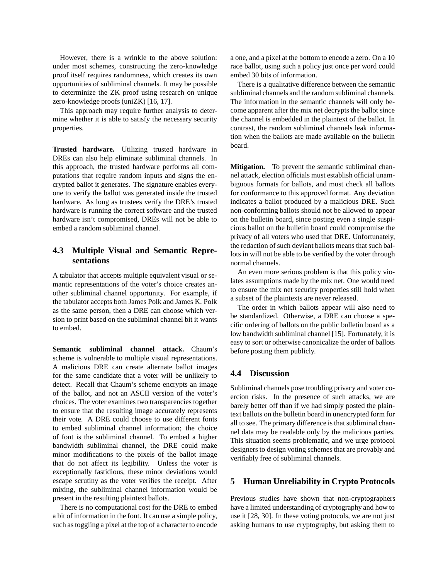However, there is a wrinkle to the above solution: under most schemes, constructing the zero-knowledge proof itself requires randomness, which creates its own opportunities of subliminal channels. It may be possible to determinize the ZK proof using research on unique zero-knowledge proofs (uniZK) [16, 17].

This approach may require further analysis to determine whether it is able to satisfy the necessary security properties.

**Trusted hardware.** Utilizing trusted hardware in DREs can also help eliminate subliminal channels. In this approach, the trusted hardware performs all computations that require random inputs and signs the encrypted ballot it generates. The signature enables everyone to verify the ballot was generated inside the trusted hardware. As long as trustees verify the DRE's trusted hardware is running the correct software and the trusted hardware isn't compromised, DREs will not be able to embed a random subliminal channel.

# **4.3 Multiple Visual and Semantic Representations**

A tabulator that accepts multiple equivalent visual or semantic representations of the voter's choice creates another subliminal channel opportunity. For example, if the tabulator accepts both James Polk and James K. Polk as the same person, then a DRE can choose which version to print based on the subliminal channel bit it wants to embed.

**Semantic subliminal channel attack.** Chaum's scheme is vulnerable to multiple visual representations. A malicious DRE can create alternate ballot images for the same candidate that a voter will be unlikely to detect. Recall that Chaum's scheme encrypts an image of the ballot, and not an ASCII version of the voter's choices. The voter examines two transparencies together to ensure that the resulting image accurately represents their vote. A DRE could choose to use different fonts to embed subliminal channel information; the choice of font is the subliminal channel. To embed a higher bandwidth subliminal channel, the DRE could make minor modifications to the pixels of the ballot image that do not affect its legibility. Unless the voter is exceptionally fastidious, these minor deviations would escape scrutiny as the voter verifies the receipt. After mixing, the subliminal channel information would be present in the resulting plaintext ballots.

There is no computational cost for the DRE to embed a bit of information in the font. It can use a simple policy, such as toggling a pixel at the top of a character to encode a one, and a pixel at the bottom to encode a zero. On a 10 race ballot, using such a policy just once per word could embed 30 bits of information.

There is a qualitative difference between the semantic subliminal channels and the random subliminal channels. The information in the semantic channels will only become apparent after the mix net decrypts the ballot since the channel is embedded in the plaintext of the ballot. In contrast, the random subliminal channels leak information when the ballots are made available on the bulletin board.

**Mitigation.** To prevent the semantic subliminal channel attack, election officials must establish official unambiguous formats for ballots, and must check all ballots for conformance to this approved format. Any deviation indicates a ballot produced by a malicious DRE. Such non-conforming ballots should not be allowed to appear on the bulletin board, since posting even a single suspicious ballot on the bulletin board could compromise the privacy of all voters who used that DRE. Unfortunately, the redaction of such deviant ballots means that such ballots in will not be able to be verified by the voter through normal channels.

An even more serious problem is that this policy violates assumptions made by the mix net. One would need to ensure the mix net security properties still hold when a subset of the plaintexts are never released.

The order in which ballots appear will also need to be standardized. Otherwise, a DRE can choose a specific ordering of ballots on the public bulletin board as a low bandwidth subliminal channel [15]. Fortunately, it is easy to sort or otherwise canonicalize the order of ballots before posting them publicly.

### **4.4 Discussion**

Subliminal channels pose troubling privacy and voter coercion risks. In the presence of such attacks, we are barely better off than if we had simply posted the plaintext ballots on the bulletin board in unencrypted form for all to see. The primary difference is that subliminal channel data may be readable only by the malicious parties. This situation seems problematic, and we urge protocol designers to design voting schemes that are provably and verifiably free of subliminal channels.

## **5 Human Unreliability in Crypto Protocols**

Previous studies have shown that non-cryptographers have a limited understanding of cryptography and how to use it [28, 30]. In these voting protocols, we are not just asking humans to use cryptography, but asking them to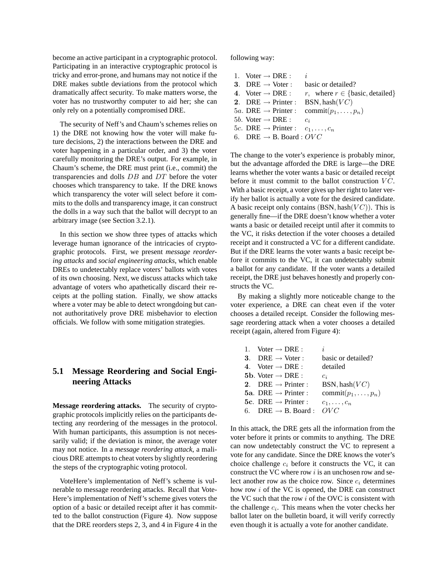become an active participant in a cryptographic protocol. Participating in an interactive cryptographic protocol is tricky and error-prone, and humans may not notice if the DRE makes subtle deviations from the protocol which dramatically affect security. To make matters worse, the voter has no trustworthy computer to aid her; she can only rely on a potentially compromised DRE.

The security of Neff's and Chaum's schemes relies on 1) the DRE not knowing how the voter will make future decisions, 2) the interactions between the DRE and voter happening in a particular order, and 3) the voter carefully monitoring the DRE's output. For example, in Chaum's scheme, the DRE must print (i.e., commit) the transparencies and dolls DB and DT before the voter chooses which transparency to take. If the DRE knows which transparency the voter will select before it commits to the dolls and transparency image, it can construct the dolls in a way such that the ballot will decrypt to an arbitrary image (see Section 3.2.1).

In this section we show three types of attacks which leverage human ignorance of the intricacies of cryptographic protocols. First, we present *message reordering attacks* and *social engineering attacks*, which enable DREs to undetectably replace voters' ballots with votes of its own choosing. Next, we discuss attacks which take advantage of voters who apathetically discard their receipts at the polling station. Finally, we show attacks where a voter may be able to detect wrongdoing but cannot authoritatively prove DRE misbehavior to election officials. We follow with some mitigation strategies.

# **5.1 Message Reordering and Social Engineering Attacks**

**Message reordering attacks.** The security of cryptographic protocols implicitly relies on the participants detecting any reordering of the messages in the protocol. With human participants, this assumption is not necessarily valid; if the deviation is minor, the average voter may not notice. In a *message reordering attack*, a malicious DRE attempts to cheat voters by slightly reordering the steps of the cryptographic voting protocol.

VoteHere's implementation of Neff's scheme is vulnerable to message reordering attacks. Recall that Vote-Here's implementation of Neff's scheme gives voters the option of a basic or detailed receipt after it has committed to the ballot construction (Figure 4). Now suppose that the DRE reorders steps 2, 3, and 4 in Figure 4 in the following way:

| 1. Voter $\rightarrow$ DRE :                       |                                                             |
|----------------------------------------------------|-------------------------------------------------------------|
| 3. DRE $\rightarrow$ Voter :                       | basic or detailed?                                          |
| 4. Voter $\rightarrow$ DRE :                       | <i>r</i> , where $r \in \{\text{basic}, \text{detailed}\}\$ |
| 2. DRE $\rightarrow$ Printer :                     | BSN, hash $(VC)$                                            |
| 5a. DRE $\rightarrow$ Printer :                    | commit $(p_1, \ldots, p_n)$                                 |
| 5 <i>b</i> . Voter $\rightarrow$ DRE :             | $c_i$                                                       |
| 5c. DRE $\rightarrow$ Printer : $c_1, \ldots, c_n$ |                                                             |
| 6. DRE $\rightarrow$ B. Board : OVC                |                                                             |

The change to the voter's experience is probably minor, but the advantage afforded the DRE is large—the DRE learns whether the voter wants a basic or detailed receipt before it must commit to the ballot construction  $VC$ . With a basic receipt, a voter gives up her right to later verify her ballot is actually a vote for the desired candidate. A basic receipt only contains  $(BSN, hash(VC))$ . This is generally fine—if the DRE doesn't know whether a voter wants a basic or detailed receipt until after it commits to the VC, it risks detection if the voter chooses a detailed receipt and it constructed a VC for a different candidate. But if the DRE learns the voter wants a basic receipt before it commits to the VC, it can undetectably submit a ballot for any candidate. If the voter wants a detailed receipt, the DRE just behaves honestly and properly constructs the VC.

By making a slightly more noticeable change to the voter experience, a DRE can cheat even if the voter chooses a detailed receipt. Consider the following message reordering attack when a voter chooses a detailed receipt (again, altered from Figure 4):

| i.                                                                                                                                                                                                                                                                       |
|--------------------------------------------------------------------------------------------------------------------------------------------------------------------------------------------------------------------------------------------------------------------------|
| basic or detailed?                                                                                                                                                                                                                                                       |
| detailed                                                                                                                                                                                                                                                                 |
| $c_i$                                                                                                                                                                                                                                                                    |
| BSN, hash $(VC)$                                                                                                                                                                                                                                                         |
| commit $(p_1, \ldots, p_n)$                                                                                                                                                                                                                                              |
| $c_1,\ldots,c_n$                                                                                                                                                                                                                                                         |
| OVC                                                                                                                                                                                                                                                                      |
| 1. Voter $\rightarrow$ DRE :<br>3. DRE $\rightarrow$ Voter :<br>4. Voter $\rightarrow$ DRE :<br>5b. Voter $\rightarrow$ DRE :<br>2. DRE $\rightarrow$ Printer :<br>5a. DRE $\rightarrow$ Printer :<br>5c. DRE $\rightarrow$ Printer :<br>6. DRE $\rightarrow$ B. Board : |

In this attack, the DRE gets all the information from the voter before it prints or commits to anything. The DRE can now undetectably construct the VC to represent a vote for any candidate. Since the DRE knows the voter's choice challenge  $c_i$  before it constructs the VC, it can construct the VC where row  $i$  is an unchosen row and select another row as the choice row. Since  $c_i$  determines how row i of the VC is opened, the DRE can construct the VC such that the row  $i$  of the OVC is consistent with the challenge  $c_i$ . This means when the voter checks her ballot later on the bulletin board, it will verify correctly even though it is actually a vote for another candidate.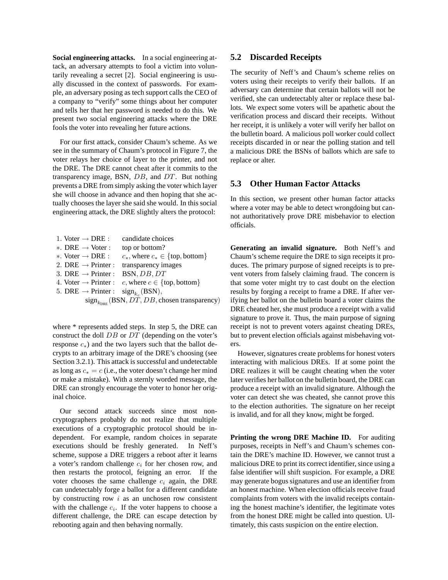**Social engineering attacks.** In a social engineering attack, an adversary attempts to fool a victim into voluntarily revealing a secret [2]. Social engineering is usually discussed in the context of passwords. For example, an adversary posing as tech support calls the CEO of a company to "verify" some things about her computer and tells her that her password is needed to do this. We present two social engineering attacks where the DRE fools the voter into revealing her future actions.

For our first attack, consider Chaum's scheme. As we see in the summary of Chaum's protocol in Figure 7, the voter relays her choice of layer to the printer, and not the DRE. The DRE cannot cheat after it commits to the transparency image, BSN, DB, and DT. But nothing prevents a DRE from simply asking the voter which layer she will choose in advance and then hoping that she actually chooses the layer she said she would. In this social engineering attack, the DRE slightly alters the protocol:

| 1. Voter $\rightarrow$ DRE :                                        | candidate choices                                          |
|---------------------------------------------------------------------|------------------------------------------------------------|
| *. DRE $\rightarrow$ Voter :                                        | top or bottom?                                             |
| *. Voter $\rightarrow$ DRE :                                        | $c_*,$ where $c_* \in \{\text{top}, \text{bottom}\}\$      |
|                                                                     | 2. DRE $\rightarrow$ Printer : transparency images         |
| 3. DRE $\rightarrow$ Printer :                                      | BSN, DB, DT                                                |
| 4. Voter $\rightarrow$ Printer :                                    | c, where $c \in \{\text{top}, \text{bottom}\}\$            |
| 5. DRE $\rightarrow$ Printer : sign <sub>k<sub>c</sub></sub> (BSN), |                                                            |
|                                                                     | $sign_{k_{\text{DRE}}}$ (BSN, DT, DB, chosen transparency) |
|                                                                     |                                                            |

where  $*$  represents added steps. In step 5, the DRE can construct the doll DB or DT (depending on the voter's response  $c_*)$  and the two layers such that the ballot decrypts to an arbitrary image of the DRE's choosing (see Section 3.2.1). This attack is successful and undetectable as long as  $c_* = c$  (i.e., the voter doesn't change her mind or make a mistake). With a sternly worded message, the DRE can strongly encourage the voter to honor her original choice.

Our second attack succeeds since most noncryptographers probably do not realize that multiple executions of a cryptographic protocol should be independent. For example, random choices in separate executions should be freshly generated. In Neff's scheme, suppose a DRE triggers a reboot after it learns a voter's random challenge  $c_i$  for her chosen row, and then restarts the protocol, feigning an error. If the voter chooses the same challenge  $c_i$  again, the DRE can undetectably forge a ballot for a different candidate by constructing row  $i$  as an unchosen row consistent with the challenge  $c_i$ . If the voter happens to choose a different challenge, the DRE can escape detection by rebooting again and then behaving normally.

### **5.2 Discarded Receipts**

The security of Neff's and Chaum's scheme relies on voters using their receipts to verify their ballots. If an adversary can determine that certain ballots will not be verified, she can undetectably alter or replace these ballots. We expect some voters will be apathetic about the verification process and discard their receipts. Without her receipt, it is unlikely a voter will verify her ballot on the bulletin board. A malicious poll worker could collect receipts discarded in or near the polling station and tell a malicious DRE the BSNs of ballots which are safe to replace or alter.

### **5.3 Other Human Factor Attacks**

In this section, we present other human factor attacks where a voter may be able to detect wrongdoing but cannot authoritatively prove DRE misbehavior to election officials.

**Generating an invalid signature.** Both Neff's and Chaum's scheme require the DRE to sign receipts it produces. The primary purpose of signed receipts is to prevent voters from falsely claiming fraud. The concern is that some voter might try to cast doubt on the election results by forging a receipt to frame a DRE. If after verifying her ballot on the bulletin board a voter claims the DRE cheated her, she must produce a receipt with a valid signature to prove it. Thus, the main purpose of signing receipt is not to prevent voters against cheating DREs, but to prevent election officials against misbehaving voters.

However, signatures create problems for honest voters interacting with malicious DREs. If at some point the DRE realizes it will be caught cheating when the voter later verifies her ballot on the bulletin board, the DRE can produce a receipt with an invalid signature. Although the voter can detect she was cheated, she cannot prove this to the election authorities. The signature on her receipt is invalid, and for all they know, might be forged.

**Printing the wrong DRE Machine ID.** For auditing purposes, receipts in Neff's and Chaum's schemes contain the DRE's machine ID. However, we cannot trust a malicious DRE to print its correct identifier, since using a false identifier will shift suspicion. For example, a DRE may generate bogus signatures and use an identifier from an honest machine. When election officials receive fraud complaints from voters with the invalid receipts containing the honest machine's identifier, the legitimate votes from the honest DRE might be called into question. Ultimately, this casts suspicion on the entire election.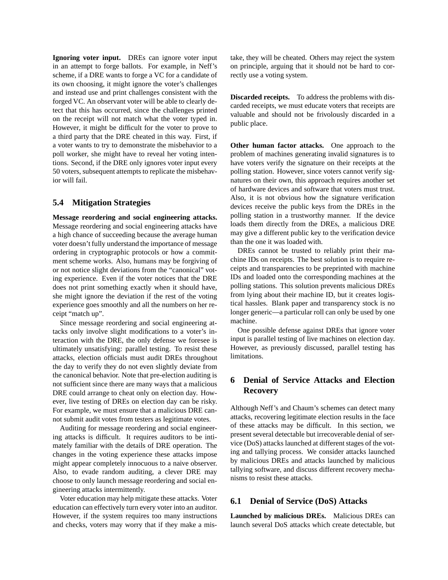**Ignoring voter input.** DREs can ignore voter input in an attempt to forge ballots. For example, in Neff's scheme, if a DRE wants to forge a VC for a candidate of its own choosing, it might ignore the voter's challenges and instead use and print challenges consistent with the forged VC. An observant voter will be able to clearly detect that this has occurred, since the challenges printed on the receipt will not match what the voter typed in. However, it might be difficult for the voter to prove to a third party that the DRE cheated in this way. First, if a voter wants to try to demonstrate the misbehavior to a poll worker, she might have to reveal her voting intentions. Second, if the DRE only ignores voter input every 50 voters, subsequent attempts to replicate the misbehavior will fail.

### **5.4 Mitigation Strategies**

**Message reordering and social engineering attacks.** Message reordering and social engineering attacks have a high chance of succeeding because the average human voter doesn't fully understand the importance of message ordering in cryptographic protocols or how a commitment scheme works. Also, humans may be forgiving of or not notice slight deviations from the "canonical" voting experience. Even if the voter notices that the DRE does not print something exactly when it should have, she might ignore the deviation if the rest of the voting experience goes smoothly and all the numbers on her receipt "match up".

Since message reordering and social engineering attacks only involve slight modifications to a voter's interaction with the DRE, the only defense we foresee is ultimately unsatisfying: parallel testing. To resist these attacks, election officials must audit DREs throughout the day to verify they do not even slightly deviate from the canonical behavior. Note that pre-election auditing is not sufficient since there are many ways that a malicious DRE could arrange to cheat only on election day. However, live testing of DREs on election day can be risky. For example, we must ensure that a malicious DRE cannot submit audit votes from testers as legitimate votes.

Auditing for message reordering and social engineering attacks is difficult. It requires auditors to be intimately familiar with the details of DRE operation. The changes in the voting experience these attacks impose might appear completely innocuous to a naive observer. Also, to evade random auditing, a clever DRE may choose to only launch message reordering and social engineering attacks intermittently.

Voter education may help mitigate these attacks. Voter education can effectively turn every voter into an auditor. However, if the system requires too many instructions and checks, voters may worry that if they make a mistake, they will be cheated. Others may reject the system on principle, arguing that it should not be hard to correctly use a voting system.

**Discarded receipts.** To address the problems with discarded receipts, we must educate voters that receipts are valuable and should not be frivolously discarded in a public place.

**Other human factor attacks.** One approach to the problem of machines generating invalid signatures is to have voters verify the signature on their receipts at the polling station. However, since voters cannot verify signatures on their own, this approach requires another set of hardware devices and software that voters must trust. Also, it is not obvious how the signature verification devices receive the public keys from the DREs in the polling station in a trustworthy manner. If the device loads them directly from the DREs, a malicious DRE may give a different public key to the verification device than the one it was loaded with.

DREs cannot be trusted to reliably print their machine IDs on receipts. The best solution is to require receipts and transparencies to be preprinted with machine IDs and loaded onto the corresponding machines at the polling stations. This solution prevents malicious DREs from lying about their machine ID, but it creates logistical hassles. Blank paper and transparency stock is no longer generic—a particular roll can only be used by one machine.

One possible defense against DREs that ignore voter input is parallel testing of live machines on election day. However, as previously discussed, parallel testing has limitations.

# **6 Denial of Service Attacks and Election Recovery**

Although Neff's and Chaum's schemes can detect many attacks, recovering legitimate election results in the face of these attacks may be difficult. In this section, we present several detectable but irrecoverable denial of service (DoS) attacks launched at different stages of the voting and tallying process. We consider attacks launched by malicious DREs and attacks launched by malicious tallying software, and discuss different recovery mechanisms to resist these attacks.

## **6.1 Denial of Service (DoS) Attacks**

**Launched by malicious DREs.** Malicious DREs can launch several DoS attacks which create detectable, but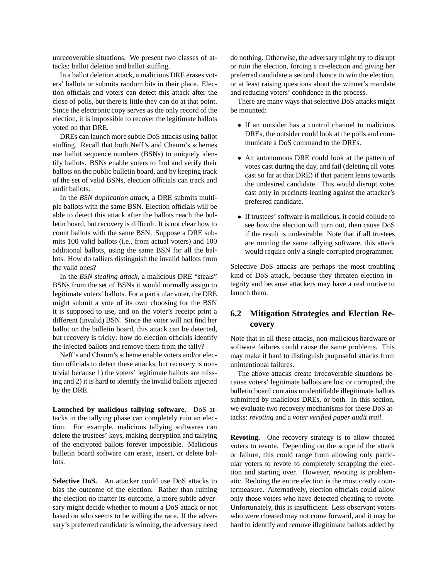unrecoverable situations. We present two classes of attacks: ballot deletion and ballot stuffing.

In a ballot deletion attack, a malicious DRE erases voters' ballots or submits random bits in their place. Election officials and voters can detect this attack after the close of polls, but there is little they can do at that point. Since the electronic copy serves as the only record of the election, it is impossible to recover the legitimate ballots voted on that DRE.

DREs can launch more subtle DoS attacks using ballot stuffing. Recall that both Neff's and Chaum's schemes use ballot sequence numbers (BSNs) to uniquely identify ballots. BSNs enable voters to find and verify their ballots on the public bulletin board, and by keeping track of the set of valid BSNs, election officials can track and audit ballots.

In the *BSN duplication attack*, a DRE submits multiple ballots with the same BSN. Election officials will be able to detect this attack after the ballots reach the bulletin board, but recovery is difficult. It is not clear how to count ballots with the same BSN. Suppose a DRE submits 100 valid ballots (i.e., from actual voters) and 100 additional ballots, using the same BSN for all the ballots. How do talliers distinguish the invalid ballots from the valid ones?

In the *BSN stealing attack*, a malicious DRE "steals" BSNs from the set of BSNs it would normally assign to legitimate voters' ballots. For a particular voter, the DRE might submit a vote of its own choosing for the BSN it is supposed to use, and on the voter's receipt print a different (invalid) BSN. Since the voter will not find her ballot on the bulletin board, this attack can be detected, but recovery is tricky: how do election officials identify the injected ballots and remove them from the tally?

Neff's and Chaum's scheme enable voters and/or election officials to detect these attacks, but recovery is nontrivial because 1) the voters' legitimate ballots are missing and 2) it is hard to identify the invalid ballots injected by the DRE.

**Launched by malicious tallying software.** DoS attacks in the tallying phase can completely ruin an election. For example, malicious tallying softwares can delete the trustees' keys, making decryption and tallying of the encrypted ballots forever impossible. Malicious bulletin board software can erase, insert, or delete ballots.

**Selective DoS.** An attacker could use DoS attacks to bias the outcome of the election. Rather than ruining the election no matter its outcome, a more subtle adversary might decide whether to mount a DoS attack or not based on who seems to be willing the race. If the adversary's preferred candidate is winning, the adversary need do nothing. Otherwise, the adversary might try to disrupt or ruin the election, forcing a re-election and giving her preferred candidate a second chance to win the election, or at least raising questions about the winner's mandate and reducing voters' confidence in the process.

There are many ways that selective DoS attacks might be mounted:

- If an outsider has a control channel to malicious DREs, the outsider could look at the polls and communicate a DoS command to the DREs.
- An autonomous DRE could look at the pattern of votes cast during the day, and fail (deleting all votes cast so far at that DRE) if that pattern leans towards the undesired candidate. This would disrupt votes cast only in precincts leaning against the attacker's preferred candidate.
- If trustees' software is malicious, it could collude to see how the election will turn out, then cause DoS if the result is undesirable. Note that if all trustees are running the same tallying software, this attack would require only a single corrupted programmer.

Selective DoS attacks are perhaps the most troubling kind of DoS attack, because they threaten election integrity and because attackers may have a real motive to launch them.

# **6.2 Mitigation Strategies and Election Recovery**

Note that in all these attacks, non-malicious hardware or software failures could cause the same problems. This may make it hard to distinguish purposeful attacks from unintentional failures.

The above attacks create irrecoverable situations because voters' legitimate ballots are lost or corrupted, the bulletin board contains unidentifiable illegitimate ballots submitted by malicious DREs, or both. In this section, we evaluate two recovery mechanisms for these DoS attacks: *revoting* and a *voter verified paper audit trail*.

**Revoting.** One recovery strategy is to allow cheated voters to revote. Depending on the scope of the attack or failure, this could range from allowing only particular voters to revote to completely scrapping the election and starting over. However, revoting is problematic. Redoing the entire election is the most costly countermeasure. Alternatively, election officials could allow only those voters who have detected cheating to revote. Unfortunately, this is insufficient. Less observant voters who were cheated may not come forward, and it may be hard to identify and remove illegitimate ballots added by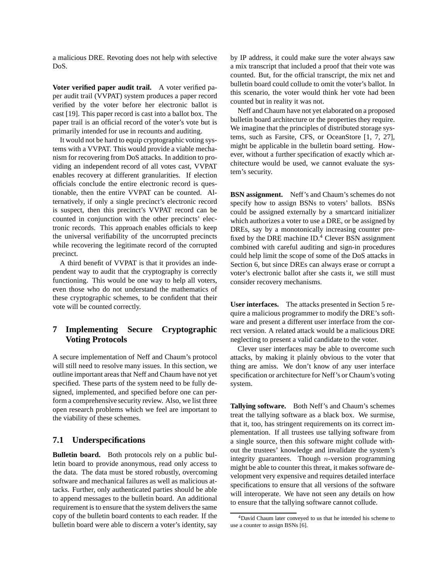a malicious DRE. Revoting does not help with selective DoS.

**Voter verified paper audit trail.** A voter verified paper audit trail (VVPAT) system produces a paper record verified by the voter before her electronic ballot is cast [19]. This paper record is cast into a ballot box. The paper trail is an official record of the voter's vote but is primarily intended for use in recounts and auditing.

It would not be hard to equip cryptographic voting systems with a VVPAT. This would provide a viable mechanism for recovering from DoS attacks. In addition to providing an independent record of all votes cast, VVPAT enables recovery at different granularities. If election officials conclude the entire electronic record is questionable, then the entire VVPAT can be counted. Alternatively, if only a single precinct's electronic record is suspect, then this precinct's VVPAT record can be counted in conjunction with the other precincts' electronic records. This approach enables officials to keep the universal verifiability of the uncorrupted precincts while recovering the legitimate record of the corrupted precinct.

A third benefit of VVPAT is that it provides an independent way to audit that the cryptography is correctly functioning. This would be one way to help all voters, even those who do not understand the mathematics of these cryptographic schemes, to be confident that their vote will be counted correctly.

# **7 Implementing Secure Cryptographic Voting Protocols**

A secure implementation of Neff and Chaum's protocol will still need to resolve many issues. In this section, we outline important areas that Neff and Chaum have not yet specified. These parts of the system need to be fully designed, implemented, and specified before one can perform a comprehensive security review. Also, we list three open research problems which we feel are important to the viability of these schemes.

### **7.1 Underspecifications**

**Bulletin board.** Both protocols rely on a public bulletin board to provide anonymous, read only access to the data. The data must be stored robustly, overcoming software and mechanical failures as well as malicious attacks. Further, only authenticated parties should be able to append messages to the bulletin board. An additional requirement is to ensure that the system delivers the same copy of the bulletin board contents to each reader. If the bulletin board were able to discern a voter's identity, say by IP address, it could make sure the voter always saw a mix transcript that included a proof that their vote was counted. But, for the official transcript, the mix net and bulletin board could collude to omit the voter's ballot. In this scenario, the voter would think her vote had been counted but in reality it was not.

Neff and Chaum have not yet elaborated on a proposed bulletin board architecture or the properties they require. We imagine that the principles of distributed storage systems, such as Farsite, CFS, or OceanStore [1, 7, 27], might be applicable in the bulletin board setting. However, without a further specification of exactly which architecture would be used, we cannot evaluate the system's security.

**BSN assignment.** Neff's and Chaum's schemes do not specify how to assign BSNs to voters' ballots. BSNs could be assigned externally by a smartcard initializer which authorizes a voter to use a DRE, or be assigned by DREs, say by a monotonically increasing counter prefixed by the DRE machine ID.<sup>4</sup> Clever BSN assignment combined with careful auditing and sign-in procedures could help limit the scope of some of the DoS attacks in Section 6, but since DREs can always erase or corrupt a voter's electronic ballot after she casts it, we still must consider recovery mechanisms.

**User interfaces.** The attacks presented in Section 5 require a malicious programmer to modify the DRE's software and present a different user interface from the correct version. A related attack would be a malicious DRE neglecting to present a valid candidate to the voter.

Clever user interfaces may be able to overcome such attacks, by making it plainly obvious to the voter that thing are amiss. We don't know of any user interface specification or architecture for Neff's or Chaum's voting system.

**Tallying software.** Both Neff's and Chaum's schemes treat the tallying software as a black box. We surmise, that it, too, has stringent requirements on its correct implementation. If all trustees use tallying software from a single source, then this software might collude without the trustees' knowledge and invalidate the system's integrity guarantees. Though  $n$ -version programming might be able to counter this threat, it makes software development very expensive and requires detailed interface specifications to ensure that all versions of the software will interoperate. We have not seen any details on how to ensure that the tallying software cannot collude.

<sup>4</sup>David Chaum later conveyed to us that he intended his scheme to use a counter to assign BSNs [6].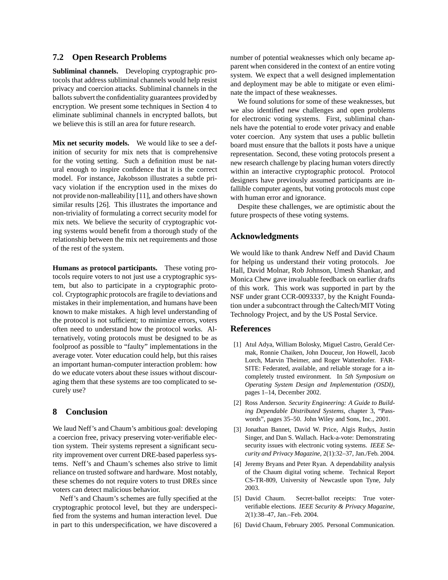### **7.2 Open Research Problems**

**Subliminal channels.** Developing cryptographic protocols that address subliminal channels would help resist privacy and coercion attacks. Subliminal channels in the ballots subvert the confidentiality guarantees provided by encryption. We present some techniques in Section 4 to eliminate subliminal channels in encrypted ballots, but we believe this is still an area for future research.

**Mix net security models.** We would like to see a definition of security for mix nets that is comprehensive for the voting setting. Such a definition must be natural enough to inspire confidence that it is the correct model. For instance, Jakobsson illustrates a subtle privacy violation if the encryption used in the mixes do not provide non-malleability [11], and others have shown similar results [26]. This illustrates the importance and non-triviality of formulating a correct security model for mix nets. We believe the security of cryptographic voting systems would benefit from a thorough study of the relationship between the mix net requirements and those of the rest of the system.

**Humans as protocol participants.** These voting protocols require voters to not just use a cryptographic system, but also to participate in a cryptographic protocol. Cryptographic protocols are fragile to deviations and mistakes in their implementation, and humans have been known to make mistakes. A high level understanding of the protocol is not sufficient; to minimize errors, voters often need to understand how the protocol works. Alternatively, voting protocols must be designed to be as foolproof as possible to "faulty" implementations in the average voter. Voter education could help, but this raises an important human-computer interaction problem: how do we educate voters about these issues without discouraging them that these systems are too complicated to securely use?

## **8 Conclusion**

We laud Neff's and Chaum's ambitious goal: developing a coercion free, privacy preserving voter-verifiable election system. Their systems represent a significant security improvement over current DRE-based paperless systems. Neff's and Chaum's schemes also strive to limit reliance on trusted software and hardware. Most notably, these schemes do not require voters to trust DREs since voters can detect malicious behavior.

Neff's and Chaum's schemes are fully specified at the cryptographic protocol level, but they are underspecified from the systems and human interaction level. Due in part to this underspecification, we have discovered a number of potential weaknesses which only became apparent when considered in the context of an entire voting system. We expect that a well designed implementation and deployment may be able to mitigate or even eliminate the impact of these weaknesses.

We found solutions for some of these weaknesses, but we also identified new challenges and open problems for electronic voting systems. First, subliminal channels have the potential to erode voter privacy and enable voter coercion. Any system that uses a public bulletin board must ensure that the ballots it posts have a unique representation. Second, these voting protocols present a new research challenge by placing human voters directly within an interactive cryptographic protocol. Protocol designers have previously assumed participants are infallible computer agents, but voting protocols must cope with human error and ignorance.

Despite these challenges, we are optimistic about the future prospects of these voting systems.

### **Acknowledgments**

We would like to thank Andrew Neff and David Chaum for helping us understand their voting protocols. Joe Hall, David Molnar, Rob Johnson, Umesh Shankar, and Monica Chew gave invaluable feedback on earlier drafts of this work. This work was supported in part by the NSF under grant CCR-0093337, by the Knight Foundation under a subcontract through the Caltech/MIT Voting Technology Project, and by the US Postal Service.

### **References**

- [1] Atul Adya, William Bolosky, Miguel Castro, Gerald Cermak, Ronnie Chaiken, John Douceur, Jon Howell, Jacob Lorch, Marvin Theimer, and Roger Wattenhofer. FAR-SITE: Federated, available, and reliable storage for a incompletely trusted environment. In *5th Symposium on Operating System Design and Implementation (OSDI)*, pages 1–14, December 2002.
- [2] Ross Anderson. *Security Engineering: A Guide to Building Dependable Distributed Systems*, chapter 3, "Passwords", pages 35–50. John Wiley and Sons, Inc., 2001.
- [3] Jonathan Bannet, David W. Price, Algis Rudys, Justin Singer, and Dan S. Wallach. Hack-a-vote: Demonstrating security issues with electronic voting systems. *IEEE Security and Privacy Magazine*, 2(1):32–37, Jan./Feb. 2004.
- [4] Jeremy Bryans and Peter Ryan. A dependability analysis of the Chaum digital voting scheme. Technical Report CS-TR-809, University of Newcastle upon Tyne, July 2003.
- [5] David Chaum. Secret-ballot receipts: True voterverifiable elections. *IEEE Security & Privacy Magazine*, 2(1):38–47, Jan.–Feb. 2004.
- [6] David Chaum, February 2005. Personal Communication.